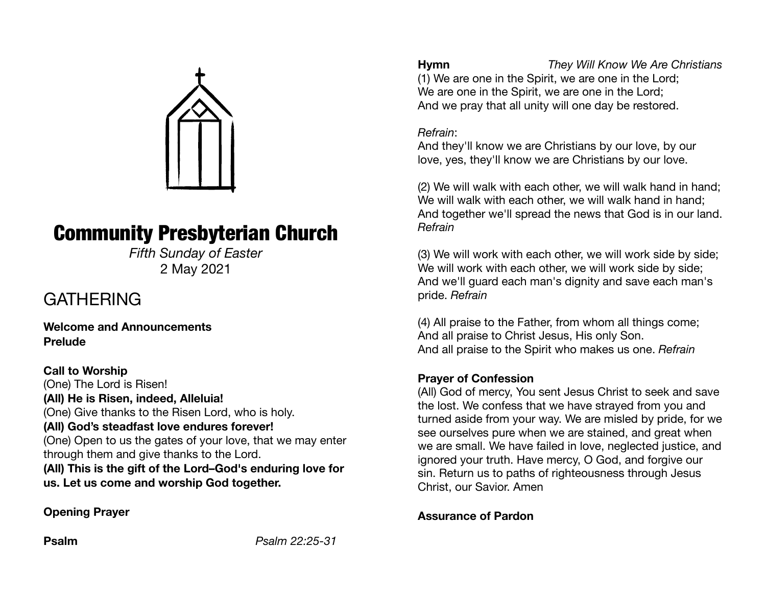

# Community Presbyterian Church

*Fifth Sunday of Easter*  2 May 2021

## **GATHERING**

**Welcome and Announcements Prelude** 

**Call to Worship**  (One) The Lord is Risen! **(All) He is Risen, indeed, Alleluia!**  (One) Give thanks to the Risen Lord, who is holy. **(All) God's steadfast love endures forever!**  (One) Open to us the gates of your love, that we may enter through them and give thanks to the Lord. **(All) This is the gift of the Lord–God's enduring love for us. Let us come and worship God together.** 

#### **Opening Prayer**

**Hymn** *They Will Know We Are Christians*  (1) We are one in the Spirit, we are one in the Lord; We are one in the Spirit, we are one in the Lord; And we pray that all unity will one day be restored.

#### *Refrain*:

And they'll know we are Christians by our love, by our love, yes, they'll know we are Christians by our love.

(2) We will walk with each other, we will walk hand in hand; We will walk with each other, we will walk hand in hand: And together we'll spread the news that God is in our land. *Refrain*

(3) We will work with each other, we will work side by side; We will work with each other, we will work side by side; And we'll guard each man's dignity and save each man's pride. *Refrain*

(4) All praise to the Father, from whom all things come; And all praise to Christ Jesus, His only Son. And all praise to the Spirit who makes us one. *Refrain*

#### **Prayer of Confession**

(All) God of mercy, You sent Jesus Christ to seek and save the lost. We confess that we have strayed from you and turned aside from your way. We are misled by pride, for we see ourselves pure when we are stained, and great when we are small. We have failed in love, neglected justice, and ignored your truth. Have mercy, O God, and forgive our sin. Return us to paths of righteousness through Jesus Christ, our Savior. Amen

#### **Assurance of Pardon**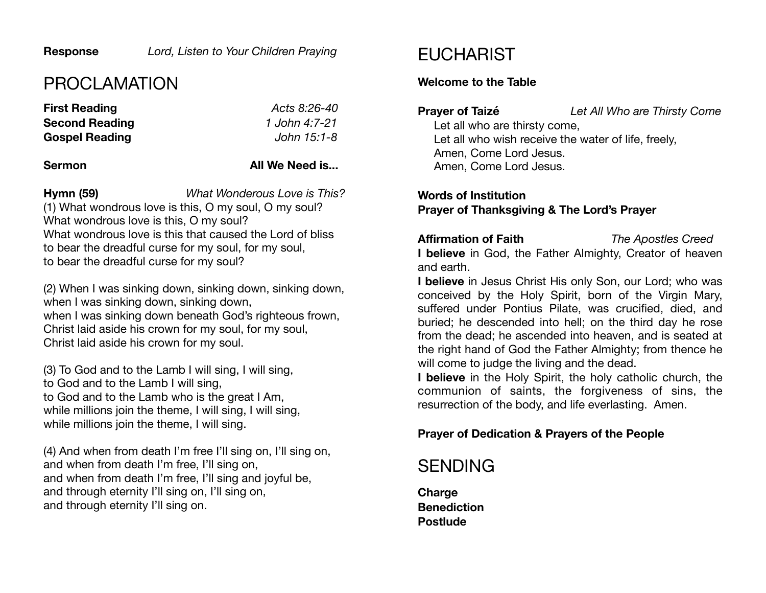## PROCLAMATION

| <b>First Reading</b>  | Acts 8:26-40  |
|-----------------------|---------------|
| <b>Second Reading</b> | 1 John 4:7-21 |
| <b>Gospel Reading</b> | John 15:1-8   |

#### **Sermon All We Need is...**

**Hymn (59)** *What Wonderous Love is This?* (1) What wondrous love is this, O my soul, O my soul? What wondrous love is this, O my soul? What wondrous love is this that caused the Lord of bliss to bear the dreadful curse for my soul, for my soul, to bear the dreadful curse for my soul?

(2) When I was sinking down, sinking down, sinking down, when I was sinking down, sinking down, when I was sinking down beneath God's righteous frown, Christ laid aside his crown for my soul, for my soul, Christ laid aside his crown for my soul.

(3) To God and to the Lamb I will sing, I will sing, to God and to the Lamb I will sing, to God and to the Lamb who is the great I Am, while millions join the theme, I will sing, I will sing, while millions join the theme, I will sing.

(4) And when from death I'm free I'll sing on, I'll sing on, and when from death I'm free, I'll sing on, and when from death I'm free, I'll sing and joyful be, and through eternity I'll sing on, I'll sing on, and through eternity I'll sing on.

## **EUCHARIST**

#### **Welcome to the Table**

**Prayer of Taizé** *Let All Who are Thirsty Come* 

Let all who are thirsty come, Let all who wish receive the water of life, freely, Amen, Come Lord Jesus. Amen, Come Lord Jesus.

**Words of Institution Prayer of Thanksgiving & The Lord's Prayer** 

#### **Affirmation of Faith** *The Apostles Creed*

**I believe** in God, the Father Almighty, Creator of heaven and earth.

**I believe** in Jesus Christ His only Son, our Lord; who was conceived by the Holy Spirit, born of the Virgin Mary, suffered under Pontius Pilate, was crucified, died, and buried; he descended into hell; on the third day he rose from the dead; he ascended into heaven, and is seated at the right hand of God the Father Almighty; from thence he will come to judge the living and the dead.

**I believe** in the Holy Spirit, the holy catholic church, the communion of saints, the forgiveness of sins, the resurrection of the body, and life everlasting. Amen.

#### **Prayer of Dedication & Prayers of the People**

## SENDING

**Charge Benediction Postlude**